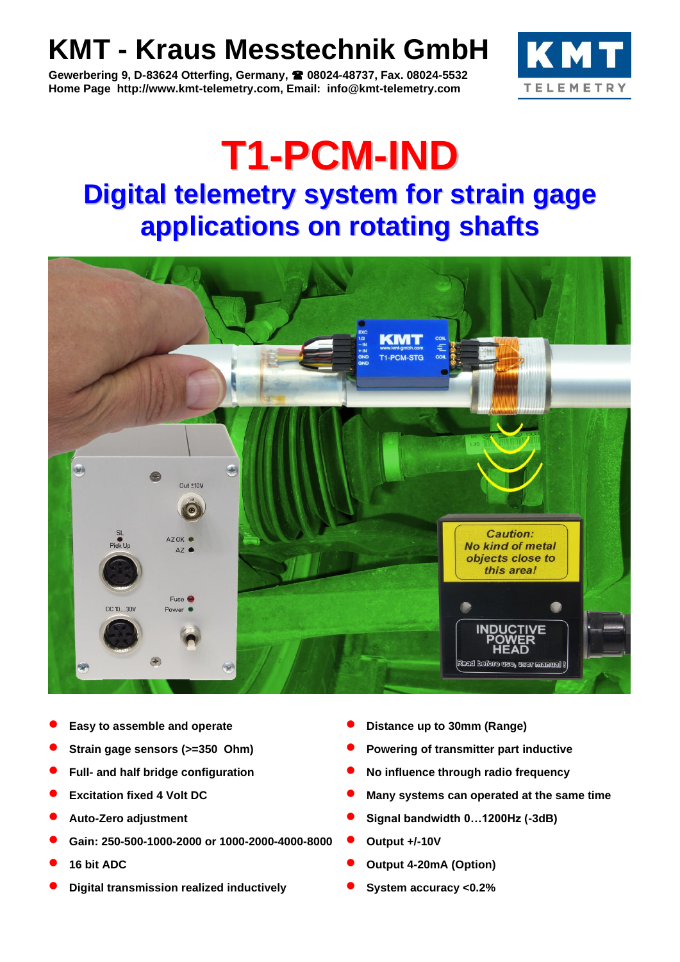# **KMT - Kraus Messtechnik GmbH**

**Gewerbering 9, D-83624 Otterfing, Germany, 08024-48737, Fax. 08024-5532 Home Page http://www.kmt-telemetry.com, Email: info@kmt-telemetry.com**



## **T1-PCM-IND Digital telemetry system for strain gage applications on rotating shafts**



- 
- 
- 
- 
- 
- **Gain: 250-500-1000-2000 or 1000-2000-4000-8000 Output +/-10V**
- 
- **Digital transmission realized inductively System accuracy <0.2%**
- **Easy to assemble and operate Distance up to 30mm (Range)**
- **Strain gage sensors (>=350 Ohm) Powering of transmitter part inductive**
- **Full- and half bridge configuration No influence through radio frequency**
- **Excitation fixed 4 Volt DC Many systems can operated at the same time**
- **Auto-Zero adjustment Signal bandwidth 0…1200Hz (-3dB)**
	-
- **16 bit ADC Output 4-20mA (Option)**
	-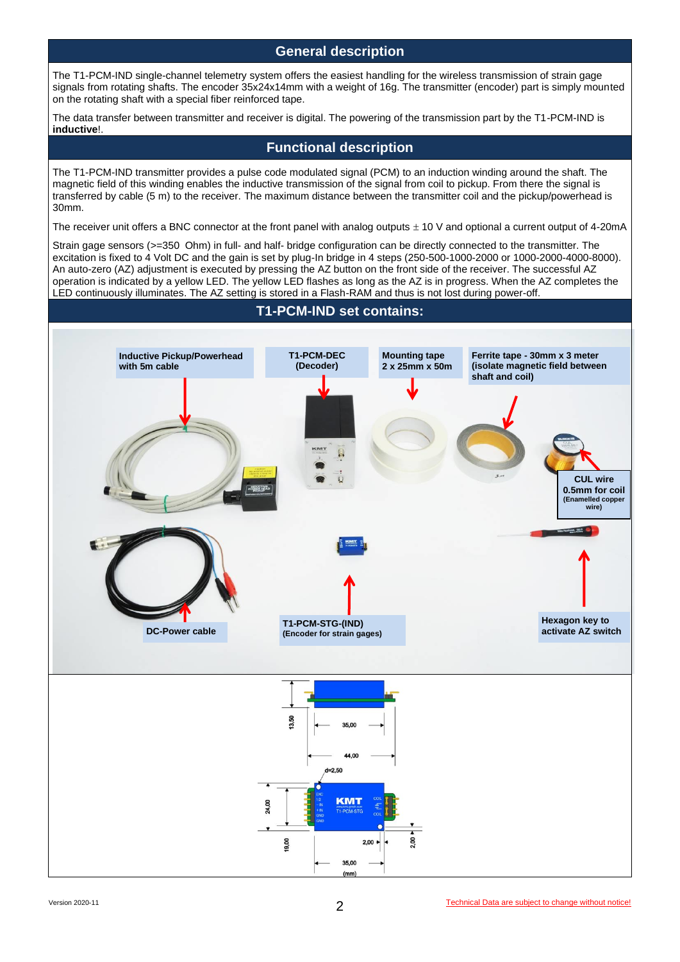#### **General description**

The T1-PCM-IND single-channel telemetry system offers the easiest handling for the wireless transmission of strain gage signals from rotating shafts. The encoder 35x24x14mm with a weight of 16g. The transmitter (encoder) part is simply mounted on the rotating shaft with a special fiber reinforced tape.

The data transfer between transmitter and receiver is digital. The powering of the transmission part by the T1-PCM-IND is **inductive**!.

#### **Functional description**

The T1-PCM-IND transmitter provides a pulse code modulated signal (PCM) to an induction winding around the shaft. The magnetic field of this winding enables the inductive transmission of the signal from coil to pickup. From there the signal is transferred by cable (5 m) to the receiver. The maximum distance between the transmitter coil and the pickup/powerhead is 30mm.

The receiver unit offers a BNC connector at the front panel with analog outputs  $\pm$  10 V and optional a current output of 4-20mA

Strain gage sensors (>=350 Ohm) in full- and half- bridge configuration can be directly connected to the transmitter. The excitation is fixed to 4 Volt DC and the gain is set by plug-In bridge in 4 steps (250-500-1000-2000 or 1000-2000-4000-8000). An auto-zero (AZ) adjustment is executed by pressing the AZ button on the front side of the receiver. The successful AZ operation is indicated by a yellow LED. The yellow LED flashes as long as the AZ is in progress. When the AZ completes the LED continuously illuminates. The AZ setting is stored in a Flash-RAM and thus is not lost during power-off.

## **T1-PCM-IND set contains:**

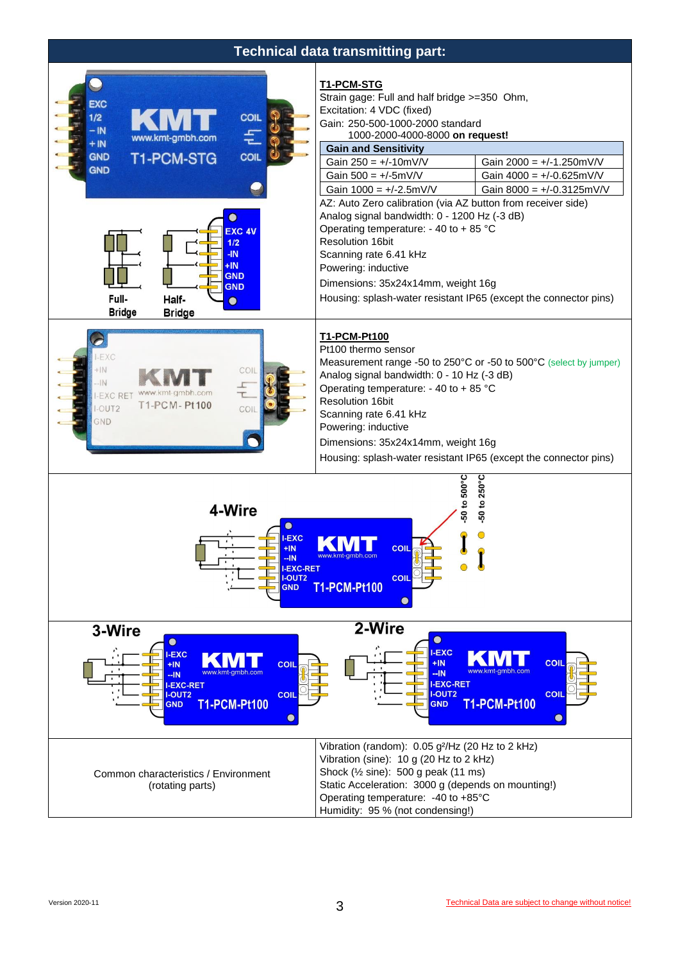## **Technical data transmitting part:**